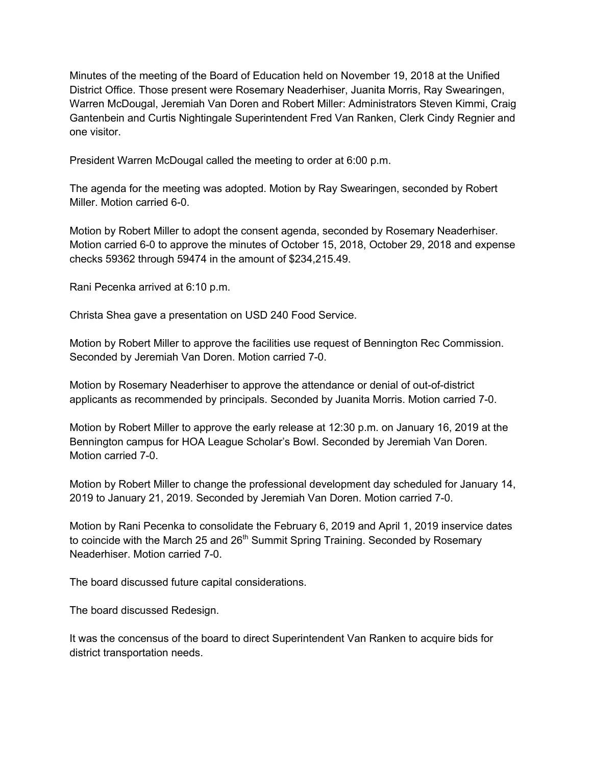Minutes of the meeting of the Board of Education held on November 19, 2018 at the Unified District Office. Those present were Rosemary Neaderhiser, Juanita Morris, Ray Swearingen, Warren McDougal, Jeremiah Van Doren and Robert Miller: Administrators Steven Kimmi, Craig Gantenbein and Curtis Nightingale Superintendent Fred Van Ranken, Clerk Cindy Regnier and one visitor.

President Warren McDougal called the meeting to order at 6:00 p.m.

The agenda for the meeting was adopted. Motion by Ray Swearingen, seconded by Robert Miller. Motion carried 6-0.

Motion by Robert Miller to adopt the consent agenda, seconded by Rosemary Neaderhiser. Motion carried 6-0 to approve the minutes of October 15, 2018, October 29, 2018 and expense checks 59362 through 59474 in the amount of \$234,215.49.

Rani Pecenka arrived at 6:10 p.m.

Christa Shea gave a presentation on USD 240 Food Service.

Motion by Robert Miller to approve the facilities use request of Bennington Rec Commission. Seconded by Jeremiah Van Doren. Motion carried 7-0.

Motion by Rosemary Neaderhiser to approve the attendance or denial of out-of-district applicants as recommended by principals. Seconded by Juanita Morris. Motion carried 7-0.

Motion by Robert Miller to approve the early release at 12:30 p.m. on January 16, 2019 at the Bennington campus for HOA League Scholar's Bowl. Seconded by Jeremiah Van Doren. Motion carried 7-0.

Motion by Robert Miller to change the professional development day scheduled for January 14, 2019 to January 21, 2019. Seconded by Jeremiah Van Doren. Motion carried 7-0.

Motion by Rani Pecenka to consolidate the February 6, 2019 and April 1, 2019 inservice dates to coincide with the March 25 and  $26<sup>th</sup>$  Summit Spring Training. Seconded by Rosemary Neaderhiser. Motion carried 7-0.

The board discussed future capital considerations.

The board discussed Redesign.

It was the concensus of the board to direct Superintendent Van Ranken to acquire bids for district transportation needs.